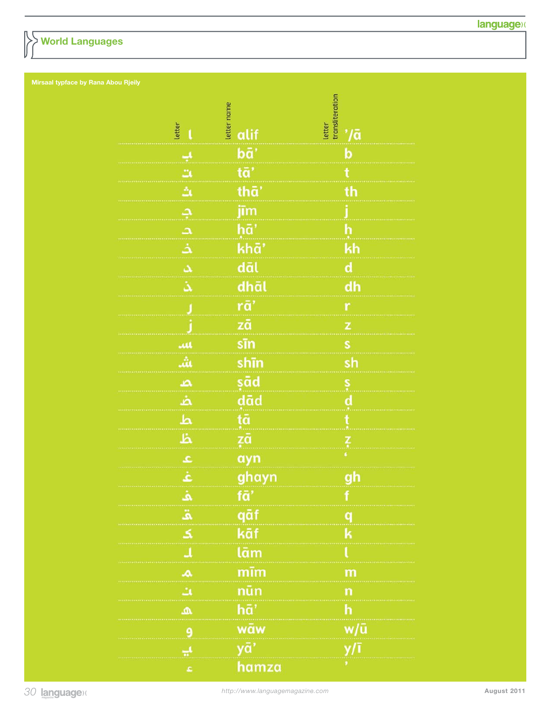## **World Languages**

| letter<br>ı    | letter name<br>alif | letter<br>transliteration<br>$^{\prime}/\bar{a}$ |
|----------------|---------------------|--------------------------------------------------|
| پ              | bā'                 | b                                                |
| Ľ,             | tā'                 | $\mathbf t$                                      |
| å              | thā'                | th                                               |
| <u>د</u>       | jīm                 | İ                                                |
| $\Delta$       | hā'                 | h                                                |
| ذ              | khā'                | kh                                               |
| A              | dāl                 | $\mathbf d$                                      |
| ڎ              | dhāl                | dh                                               |
| J              | rā'                 | r                                                |
|                | zā                  | Z                                                |
| щ              | sīn                 | s                                                |
| ιâι            | shīn                | sh                                               |
| م              | şād                 |                                                  |
| خد             | dād                 | s<br>d                                           |
| ط              | tā                  | ť                                                |
| Ä              | zā                  | ŗ                                                |
| ع              | ayn                 | ¢                                                |
| غ              | ghayn               | gh                                               |
|                | ía                  |                                                  |
| ه<br>ق         | qāf                 | q                                                |
| $\leq$         | kāf                 | k                                                |
| $\overline{1}$ | lām                 | ι                                                |
| $\triangle$    | mīm                 | m                                                |
| بن             | nūn                 | n                                                |
| ه              | hā'                 | h                                                |
| 9              | wāw                 | w/ū                                              |
| یا             | yā'                 | y/ī                                              |
| Ł              | hamza               | ٠                                                |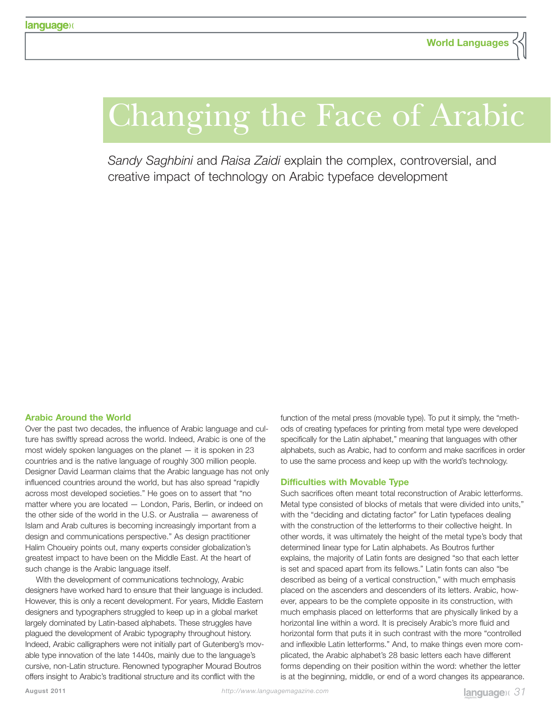# Changing the Face of Arabic

*Sandy Saghbini* and *Raisa Zaidi* explain the complex, controversial, and creative impact of technology on Arabic typeface development

#### **Arabic Around the World**

Over the past two decades, the influence of Arabic language and culture has swiftly spread across the world. Indeed, Arabic is one of the most widely spoken languages on the planet — it is spoken in 23 countries and is the native language of roughly 300 million people. Designer David Learman claims that the Arabic language has not only influenced countries around the world, but has also spread "rapidly across most developed societies." He goes on to assert that "no matter where you are located — London, Paris, Berlin, or indeed on the other side of the world in the U.S. or Australia — awareness of Islam and Arab cultures is becoming increasingly important from a design and communications perspective." As design practitioner Halim Choueiry points out, many experts consider globalization's greatest impact to have been on the Middle East. At the heart of such change is the Arabic language itself.

With the development of communications technology, Arabic designers have worked hard to ensure that their language is included. However, this is only a recent development. For years, Middle Eastern designers and typographers struggled to keep up in a global market largely dominated by Latin-based alphabets. These struggles have plagued the development of Arabic typography throughout history. Indeed, Arabic calligraphers were not initially part of Gutenberg's movable type innovation of the late 1440s, mainly due to the language's cursive, non-Latin structure. Renowned typographer Mourad Boutros offers insight to Arabic's traditional structure and its conflict with the

function of the metal press (movable type). To put it simply, the "methods of creating typefaces for printing from metal type were developed specifically for the Latin alphabet," meaning that languages with other alphabets, such as Arabic, had to conform and make sacrifices in order to use the same process and keep up with the world's technology.

#### **Difficulties with Movable Type**

Such sacrifices often meant total reconstruction of Arabic letterforms. Metal type consisted of blocks of metals that were divided into units," with the "deciding and dictating factor" for Latin typefaces dealing with the construction of the letterforms to their collective height. In other words, it was ultimately the height of the metal type's body that determined linear type for Latin alphabets. As Boutros further explains, the majority of Latin fonts are designed "so that each letter is set and spaced apart from its fellows." Latin fonts can also "be described as being of a vertical construction," with much emphasis placed on the ascenders and descenders of its letters. Arabic, however, appears to be the complete opposite in its construction, with much emphasis placed on letterforms that are physically linked by a horizontal line within a word. It is precisely Arabic's more fluid and horizontal form that puts it in such contrast with the more "controlled and inflexible Latin letterforms." And, to make things even more complicated, the Arabic alphabet's 28 basic letters each have different forms depending on their position within the word: whether the letter is at the beginning, middle, or end of a word changes its appearance.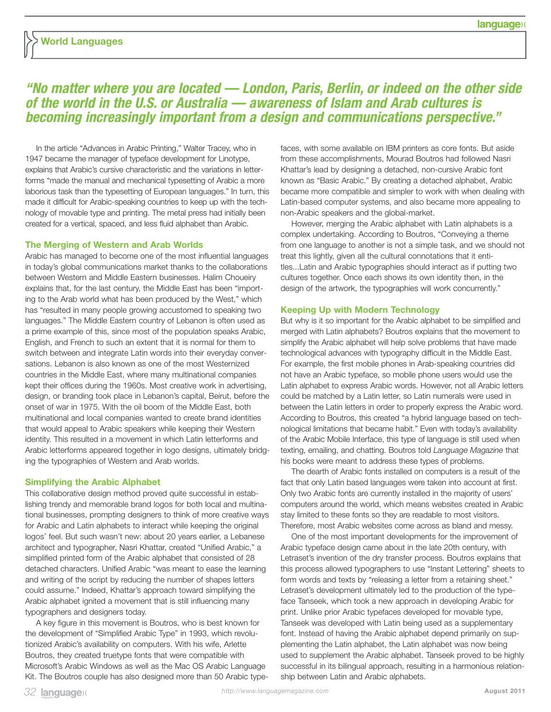## **"No matter where you are located — London, Paris, Berlin, or indeed on the other side of the world in the U.S. or Australia — awareness of Islam and Arab cultures is becoming increasingly important from a design and communications perspective."**

In the article "Advances in Arabic Printing," Walter Tracey, who in 1947 became the manager of typeface development for Linotype, explains that Arabic's cursive characteristic and the variations in letterforms "made the manual and mechanical typesetting of Arabic a more laborious task than the typesetting of European languages." In turn, this made it difficult for Arabic-speaking countries to keep up with the technology of movable type and printing. The metal press had initially been created for a vertical, spaced, and less fluid alphabet than Arabic.

#### **The Merging of Western and Arab Worlds**

Arabic has managed to become one of the most influential languages in today's global communications market thanks to the collaborations between Western and Middle Eastern businesses. Halim Choueiry explains that, for the last century, the Middle East has been "importing to the Arab world what has been produced by the West," which has "resulted in many people growing accustomed to speaking two languages." The Middle Eastern country of Lebanon is often used as a prime example of this, since most of the population speaks Arabic, English, and French to such an extent that it is normal for them to switch between and integrate Latin words into their everyday conversations. Lebanon is also known as one of the most Westernized countries in the Middle East, where many multinational companies kept their offices during the 1960s. Most creative work in advertising, design, or branding took place in Lebanon's capital, Beirut, before the onset of war in 1975. With the oil boom of the Middle East, both multinational and local companies wanted to create brand identities that would appeal to Arabic speakers while keeping their Western identity. This resulted in a movement in which Latin letterforms and Arabic letterforms appeared together in logo designs, ultimately bridging the typographies of Western and Arab worlds.

#### **Simplifying the Arabic Alphabet**

This collaborative design method proved quite successful in establishing trendy and memorable brand logos for both local and multinational businesses, prompting designers to think of more creative ways for Arabic and Latin alphabets to interact while keeping the original logos' feel. But such wasn't new: about 20 years earlier, a Lebanese architect and typographer, Nasri Khattar, created "Unified Arabic," a simplified printed form of the Arabic alphabet that consisted of 28 detached characters. Unified Arabic "was meant to ease the learning and writing of the script by reducing the number of shapes letters could assume." Indeed, Khattar's approach toward simplifying the Arabic alphabet ignited a movement that is still influencing many typographers and designers today.

A key figure in this movement is Boutros, who is best known for the development of "Simplified Arabic Type" in 1993, which revolutionized Arabic's availability on computers. With his wife, Arlette Boutros, they created truetype fonts that were compatible with Microsoft's Arabic Windows as well as the Mac OS Arabic Language Kit. The Boutros couple has also designed more than 50 Arabic type-

faces, with some available on IBM printers as core fonts. But aside from these accomplishments, Mourad Boutros had followed Nasri Khattar's lead by designing a detached, non-cursive Arabic font known as "Basic Arabic." By creating a detached alphabet, Arabic became more compatible and simpler to work with when dealing with Latin-based computer systems, and also became more appealing to non-Arabic speakers and the global-market.

However, merging the Arabic alphabet with Latin alphabets is a complex undertaking. According to Boutros, "Conveying a theme from one language to another is not a simple task, and we should not treat this lightly, given all the cultural connotations that it entitles...Latin and Arabic typographies should interact as if putting two cultures together. Once each shows its own identity then, in the design of the artwork, the typographies will work concurrently."

#### **Keeping Up with Modern Technology**

But why is it so important for the Arabic alphabet to be simplified and merged with Latin alphabets? Boutros explains that the movement to simplify the Arabic alphabet will help solve problems that have made technological advances with typography difficult in the Middle East. For example, the first mobile phones in Arab-speaking countries did not have an Arabic typeface, so mobile phone users would use the Latin alphabet to express Arabic words. However, not all Arabic letters could be matched by a Latin letter, so Latin numerals were used in between the Latin letters in order to properly express the Arabic word. According to Boutros, this created "a hybrid language based on technological limitations that became habit." Even with today's availability of the Arabic Mobile Interface, this type of language is still used when texting, emailing, and chatting. Boutros told *Language Magazine* that his books were meant to address these types of problems.

The dearth of Arabic fonts installed on computers is a result of the fact that only Latin based languages were taken into account at first. Only two Arabic fonts are currently installed in the majority of users' computers around the world, which means websites created in Arabic stay limited to these fonts so they are readable to most visitors. Therefore, most Arabic websites come across as bland and messy.

One of the most important developments for the improvement of Arabic typeface design came about in the late 20th century, with Letraset's invention of the dry transfer process. Boutros explains that this process allowed typographers to use "Instant Lettering" sheets to form words and texts by "releasing a letter from a retaining sheet." Letraset's development ultimately led to the production of the typeface Tanseek, which took a new approach in developing Arabic for print. Unlike prior Arabic typefaces developed for movable type, Tanseek was developed with Latin being used as a supplementary font. Instead of having the Arabic alphabet depend primarily on supplementing the Latin alphabet, the Latin alphabet was now being used to supplement the Arabic alphabet. Tanseek proved to be highly successful in its bilingual approach, resulting in a harmonious relationship between Latin and Arabic alphabets.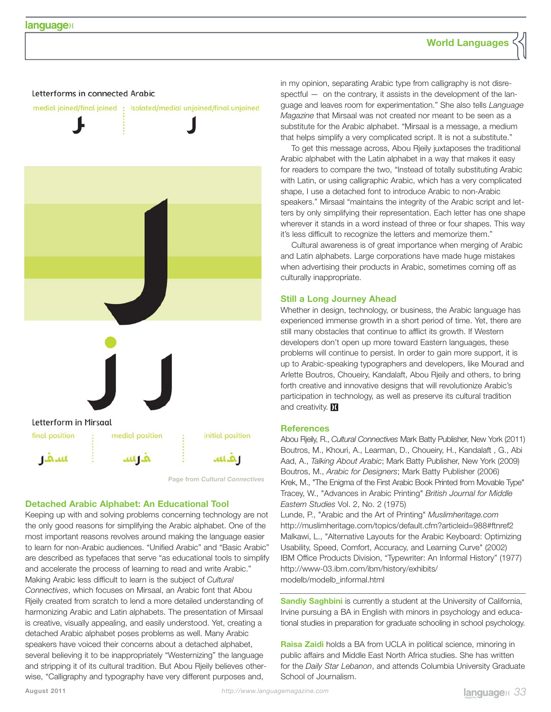### **World Languages**

#### Letterforms in connected Arabic



**Page from** *Cultural Connectives*

#### **Detached Arabic Alphabet: An Educational Tool**

Keeping up with and solving problems concerning technology are not the only good reasons for simplifying the Arabic alphabet. One of the most important reasons revolves around making the language easier to learn for non-Arabic audiences. "Unified Arabic" and "Basic Arabic" are described as typefaces that serve "as educational tools to simplify and accelerate the process of learning to read and write Arabic." Making Arabic less difficult to learn is the subject of *Cultural Connectives*, which focuses on Mirsaal, an Arabic font that Abou Rjeily created from scratch to lend a more detailed understanding of harmonizing Arabic and Latin alphabets. The presentation of Mirsaal is creative, visually appealing, and easily understood. Yet, creating a detached Arabic alphabet poses problems as well. Many Arabic speakers have voiced their concerns about a detached alphabet, several believing it to be inappropriately "Westernizing" the language and stripping it of its cultural tradition. But Abou Rjeily believes otherwise, "Calligraphy and typography have very different purposes and,

in my opinion, separating Arabic type from calligraphy is not disrespectful — on the contrary, it assists in the development of the language and leaves room for experimentation." She also tells *Language Magazine* that Mirsaal was not created nor meant to be seen as a substitute for the Arabic alphabet. "Mirsaal is a message, a medium that helps simplify a very complicated script. It is not a substitute."

To get this message across, Abou Rjeily juxtaposes the traditional Arabic alphabet with the Latin alphabet in a way that makes it easy for readers to compare the two, "Instead of totally substituting Arabic with Latin, or using calligraphic Arabic, which has a very complicated shape, I use a detached font to introduce Arabic to non-Arabic speakers." Mirsaal "maintains the integrity of the Arabic script and letters by only simplifying their representation. Each letter has one shape wherever it stands in a word instead of three or four shapes. This way it's less difficult to recognize the letters and memorize them."

Cultural awareness is of great importance when merging of Arabic and Latin alphabets. Large corporations have made huge mistakes when advertising their products in Arabic, sometimes coming off as culturally inappropriate.

#### **Still a Long Journey Ahead**

Whether in design, technology, or business, the Arabic language has experienced immense growth in a short period of time. Yet, there are still many obstacles that continue to afflict its growth. If Western developers don't open up more toward Eastern languages, these problems will continue to persist. In order to gain more support, it is up to Arabic-speaking typographers and developers, like Mourad and Arlette Boutros, Choueiry, Kandalaft, Abou Rjeily and others, to bring forth creative and innovative designs that will revolutionize Arabic's participation in technology, as well as preserve its cultural tradition and creativity. M

#### **References**

Abou Rjeily, R., *Cultural Connectives* Mark Batty Publisher, New York (2011) Boutros, M., Khouri, A., Learman, D., Choueiry, H., Kandalaft , G., Abi Aad, A., *Talking About Arabic*; Mark Batty Publisher, New York (2009) Boutros, M., *Arabic for Designers*; Mark Batty Publisher (2006) Krek, M., "The Enigma of the First Arabic Book Printed from Movable Type" Tracey, W., "Advances in Arabic Printing" *British Journal for Middle Eastern Studies* Vol. 2, No. 2 (1975)

Lunde, P., "Arabic and the Art of Printing" *Muslimheritage.com* http://muslimheritage.com/topics/default.cfm?articleid=988#ftnref2 Malkawi, L., "Alternative Layouts for the Arabic Keyboard: Optimizing Usability, Speed, Comfort, Accuracy, and Learning Curve" (2002) IBM Office Products Division, "Typewriter: An Informal History" (1977) http://www-03.ibm.com/ibm/history/exhibits/ modelb/modelb\_informal.html

**Sandiy Saghbini** is currently a student at the University of California, Irvine pursuing a BA in English with minors in psychology and educational studies in preparation for graduate schooling in school psychology.

**Raisa Zaidi** holds a BA from UCLA in political science, minoring in public affairs and Middle East North Africa studies. She has written for the *Daily Star Lebanon*, and attends Columbia University Graduate School of Journalism.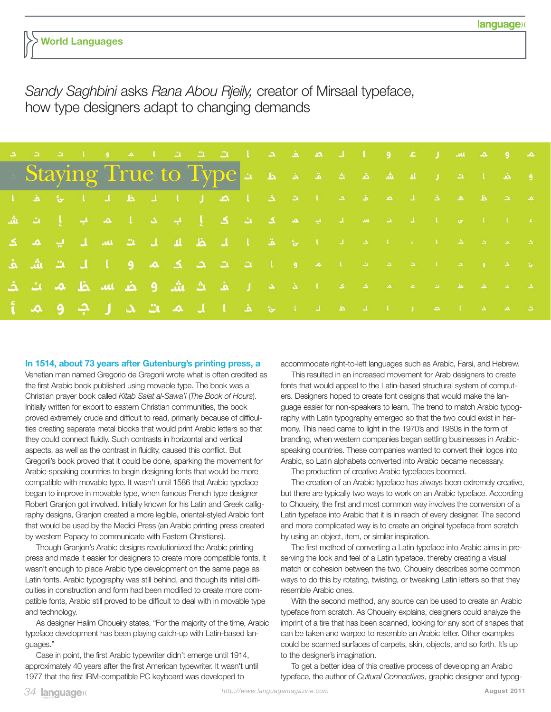## **World Languages**

# *Sandy Saghbini* asks *Rana Abou Rjeily,* creator of Mirsaal typeface, how type designers adapt to changing demands

| لعد و بعد نسب ال عد و () إلا نعد لعد الاست الاست الاست العالم العالم العالم العالم العالم العالم الع           |  |  |  |  |  |  |  |  |  |  |  |
|----------------------------------------------------------------------------------------------------------------|--|--|--|--|--|--|--|--|--|--|--|
| او ها العام العام ها ها ها ها سه العام العام Staying True to Type                                              |  |  |  |  |  |  |  |  |  |  |  |
| محققة مقاد مقاديدا تعادة الصال الدقاب الواقعا                                                                  |  |  |  |  |  |  |  |  |  |  |  |
| <u>یہ آیا ہو آئی اس اس اس میں کا اس کے اِیک ہم آئی ک</u> ے ایک ایک ایک ایک ایک                                 |  |  |  |  |  |  |  |  |  |  |  |
| تمايم ما معاملا عامل ما معاملا با مع مقال إلى نظر الله من الله من الله من كل م                                 |  |  |  |  |  |  |  |  |  |  |  |
| عَلَيْهَا وَ تَمَا عَاهَدَا عَلَيْهَا مَا وَالْكَلِّيْكَ بِكُمْ فَيَكُلِّ بِكُمْ وَالْبَابَ بَكَ بَيْشَ بِكُمْ |  |  |  |  |  |  |  |  |  |  |  |
| <u>ة لا تعامل المتحدة المتحدة التي تشارق الأشارة الأصاب المستطر بصائب كث</u>                                   |  |  |  |  |  |  |  |  |  |  |  |
| ان بعد المالية القاطانية عشال الأماسات بالأمال الإصارة بالأمالية المالية الأمالية المالية المالية ال           |  |  |  |  |  |  |  |  |  |  |  |

#### **In 1514, about 73 years after Gutenburg's printing press, a**

Venetian man named Gregorio de Gregorii wrote what is often credited as the first Arabic book published using movable type. The book was a Christian prayer book called *Kitab Salat al-Sawa'i* (*The Book of Hours*). Initially written for export to eastern Christian communities, the book proved extremely crude and difficult to read, primarily because of difficulties creating separate metal blocks that would print Arabic letters so that they could connect fluidly. Such contrasts in horizontal and vertical aspects, as well as the contrast in fluidity, caused this conflict. But Gregorii's book proved that it could be done, sparking the movement for Arabic-speaking countries to begin designing fonts that would be more compatible with movable type. It wasn't until 1586 that Arabic typeface began to improve in movable type, when famous French type designer Robert Granjon got involved. Initially known for his Latin and Greek calligraphy designs, Granjon created a more legible, oriental-styled Arabic font that would be used by the Medici Press (an Arabic printing press created by western Papacy to communicate with Eastern Christians).

Though Granjon's Arabic designs revolutionized the Arabic printing press and made it easier for designers to create more compatible fonts, it wasn't enough to place Arabic type development on the same page as Latin fonts. Arabic typography was still behind, and though its initial difficulties in construction and form had been modified to create more compatible fonts, Arabic still proved to be difficult to deal with in movable type and technology.

As designer Halim Choueiry states, "For the majority of the time, Arabic typeface development has been playing catch-up with Latin-based languages."

Case in point, the first Arabic typewriter didn't emerge until 1914, approximately 40 years after the first American typewriter. It wasn't until 1977 that the first IBM-compatible PC keyboard was developed to

accommodate right-to-left languages such as Arabic, Farsi, and Hebrew.

This resulted in an increased movement for Arab designers to create fonts that would appeal to the Latin-based structural system of computers. Designers hoped to create font designs that would make the language easier for non-speakers to learn. The trend to match Arabic typography with Latin typography emerged so that the two could exist in harmony. This need came to light in the 1970's and 1980s in the form of branding, when western companies began settling businesses in Arabicspeaking countries. These companies wanted to convert their logos into Arabic, so Latin alphabets converted into Arabic became necessary.

The production of creative Arabic typefaces boomed.

The creation of an Arabic typeface has always been extremely creative, but there are typically two ways to work on an Arabic typeface. According to Choueiry, the first and most common way involves the conversion of a Latin typeface into Arabic that it is in reach of every designer. The second and more complicated way is to create an original typeface from scratch by using an object, item, or similar inspiration.

The first method of converting a Latin typeface into Arabic aims in preserving the look and feel of a Latin typeface, thereby creating a visual match or cohesion between the two. Choueiry describes some common ways to do this by rotating, twisting, or tweaking Latin letters so that they resemble Arabic ones.

With the second method, any source can be used to create an Arabic typeface from scratch. As Choueiry explains, designers could analyze the imprint of a tire that has been scanned, looking for any sort of shapes that can be taken and warped to resemble an Arabic letter. Other examples could be scanned surfaces of carpets, skin, objects, and so forth. It's up to the designer's imagination.

To get a better idea of this creative process of developing an Arabic typeface, the author of *Cultural Connectives*, graphic designer and typog-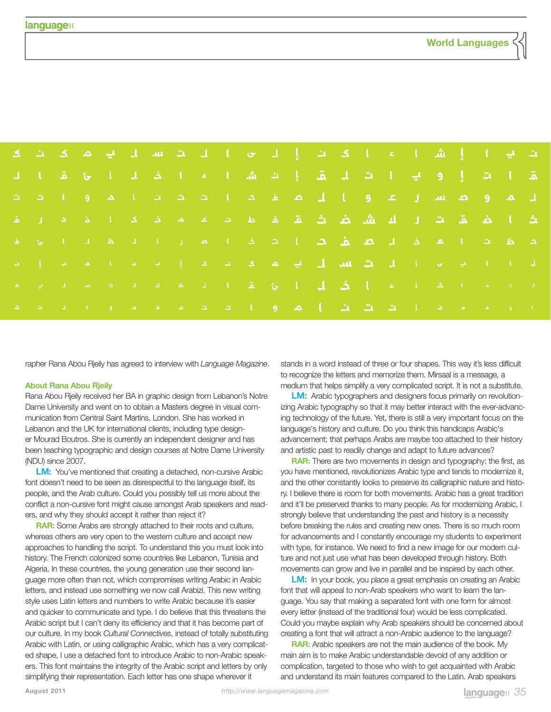|  |  |  | نت نبتا إشاعا تكاتب إلت مثال تتشاب نبديك كانتك                                                         |  |  |  |  |  |  |  |  |
|--|--|--|--------------------------------------------------------------------------------------------------------|--|--|--|--|--|--|--|--|
|  |  |  | تقاضا ونبا تشارقة إنشاعا بخالوا توقا اب                                                                |  |  |  |  |  |  |  |  |
|  |  |  | لل بعد و بطینت از عد وبال بطار مطابق بخش به عد از ما را بخش عد                                         |  |  |  |  |  |  |  |  |
|  |  |  | تکا بَصْدَة کال الله بَشْن بَصْدَة بِمَا بِدَعَة بِمَا حَدِيدًا بِدَعَالٍ بِقَا                        |  |  |  |  |  |  |  |  |
|  |  |  | نصاط تشانعة لأصار كصارف بكاتب فتالحاب الباطانا بويقا                                                   |  |  |  |  |  |  |  |  |
|  |  |  | الله لكانا أنها فكالله الأساء الأسأل الأساء علام الأساء الأساع الأساء الأساء الأساء الأساء الأساء ال   |  |  |  |  |  |  |  |  |
|  |  |  | الله الأستاذة التيهم بالتيك المستقل المستقل الأستاذ الأستاذة الأستاذة مقالة الأستاذة المستقلة الأستاذة |  |  |  |  |  |  |  |  |
|  |  |  | <u>بلا الإحداد الأحداث التشاكل المصارة الشدد عامية أمال الأساعدة</u>                                   |  |  |  |  |  |  |  |  |

rapher Rana Abou Rjeily has agreed to interview with *Language Magazine*.

#### **About Rana Abou Rjeily**

Rana Abou Rjeily received her BA in graphic design from Lebanon's Notre Dame University and went on to obtain a Masters degree in visual communication from Central Saint Martins, London. She has worked in Lebanon and the UK for international clients, including type designer Mourad Boutros. She is currently an independent designer and has been teaching typographic and design courses at Notre Dame University (NDU) since 2007.

**LM:** You've mentioned that creating a detached, non-cursive Arabic font doesn't need to be seen as disrespectful to the language itself, its people, and the Arab culture. Could you possibly tell us more about the conflict a non-cursive font might cause amongst Arab speakers and readers, and why they should accept it rather than reject it?

**RAR:** Some Arabs are strongly attached to their roots and culture, whereas others are very open to the western culture and accept new approaches to handling the script. To understand this you must look into history. The French colonized some countries like Lebanon, Tunisia and Algeria. In these countries, the young generation use their second language more often than not, which compromises writing Arabic in Arabic letters, and instead use something we now call Arabizi. This new writing style uses Latin letters and numbers to write Arabic because it's easier and quicker to communicate and type. I do believe that this threatens the Arabic script but I can't deny its efficiency and that it has become part of our culture. In my book *Cultural Connectives*, instead of totally substituting Arabic with Latin, or using calligraphic Arabic, which has a very complicated shape, I use a detached font to introduce Arabic to non-Arabic speakers. This font maintains the integrity of the Arabic script and letters by only simplifying their representation. Each letter has one shape wherever it

stands in a word instead of three or four shapes. This way it's less difficult to recognize the letters and memorize them. Mirsaal is a message, a medium that helps simplify a very complicated script. It is not a substitute.

**LM:** Arabic typographers and designers focus primarily on revolutionizing Arabic typography so that it may better interact with the ever-advancing technology of the future. Yet, there is still a very important focus on the language's history and culture. Do you think this handicaps Arabic's advancement; that perhaps Arabs are maybe too attached to their history and artistic past to readily change and adapt to future advances?

**RAR:** There are two movements in design and typography: the first, as you have mentioned, revolutionizes Arabic type and tends to modernize it, and the other constantly looks to preserve its calligraphic nature and history. I believe there is room for both movements. Arabic has a great tradition and it'll be preserved thanks to many people. As for modernizing Arabic, I strongly believe that understanding the past and history is a necessity before breaking the rules and creating new ones. There is so much room for advancements and I constantly encourage my students to experiment with type, for instance. We need to find a new image for our modern culture and not just use what has been developed through history. Both movements can grow and live in parallel and be inspired by each other.

**LM:** In your book, you place a great emphasis on creating an Arabic font that will appeal to non-Arab speakers who want to learn the language. You say that making a separated font with one form for almost every letter (instead of the traditional four) would be less complicated. Could you maybe explain why Arab speakers should be concerned about creating a font that will attract a non-Arabic audience to the language?

**RAR:** Arabic speakers are not the main audience of the book. My main aim is to make Arabic understandable devoid of any addition or complication, targeted to those who wish to get acquainted with Arabic and understand its main features compared to the Latin. Arab speakers